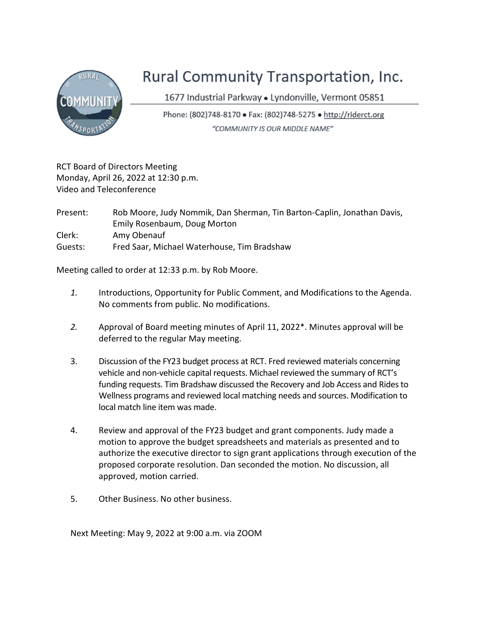

## Rural Community Transportation, Inc.

1677 Industrial Parkway · Lyndonville, Vermont 05851

Phone: (802)748-8170 • Fax: (802)748-5275 • http://riderct.org "COMMUNITY IS OUR MIDDLE NAME"

RCT Board of Directors Meeting Monday, April 26, 2022 at 12:30 p.m. Video and Teleconference

Present: Rob Moore, Judy Nommik, Dan Sherman, Tin Barton-Caplin, Jonathan Davis, Emily Rosenbaum, Doug Morton Clerk: Amy Obenauf Guests: Fred Saar, Michael Waterhouse, Tim Bradshaw

Meeting called to order at 12:33 p.m. by Rob Moore.

- 1. Introductions, Opportunity for Public Comment, and Modifications to the Agenda. No comments from public. No modifications.
- 2. Approval of Board meeting minutes of April 11, 2022\*. Minutes approval will be deferred to the regular May meeting.
- 3. Discussion of the FY23 budget process at RCT. Fred reviewed materials concerning vehicle and non-vehicle capital requests. Michael reviewed the summary of RCT's funding requests. Tim Bradshaw discussed the Recovery and Job Access and Rides to Wellness programs and reviewed local matching needs and sources. Modification to local match line item was made.
- 4. Review and approval of the FY23 budget and grant components. Judy made a motion to approve the budget spreadsheets and materials as presented and to authorize the executive director to sign grant applications through execution of the proposed corporate resolution. Dan seconded the motion. No discussion, all approved, motion carried.
- 5. Other Business. No other business.

Next Meeting: May 9, 2022 at 9:00 a.m. via ZOOM